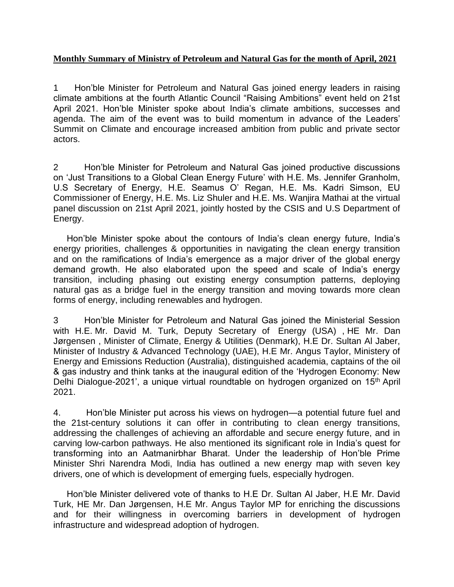## **Monthly Summary of Ministry of Petroleum and Natural Gas for the month of April, 2021**

1 Hon'ble Minister for Petroleum and Natural Gas joined energy leaders in raising climate ambitions at the fourth Atlantic Council "Raising Ambitions" event held on 21st April 2021. Hon'ble Minister spoke about India's climate ambitions, successes and agenda. The aim of the event was to build momentum in advance of the Leaders' Summit on Climate and encourage increased ambition from public and private sector actors.

2 Hon'ble Minister for Petroleum and Natural Gas joined productive discussions on 'Just Transitions to a Global Clean Energy Future' with H.E. Ms. Jennifer Granholm, U.S Secretary of Energy, H.E. Seamus O' Regan, H.E. Ms. Kadri Simson, EU Commissioner of Energy, H.E. Ms. Liz Shuler and H.E. Ms. Wanjira Mathai at the virtual panel discussion on 21st April 2021, jointly hosted by the CSIS and U.S Department of Energy.

Hon'ble Minister spoke about the contours of India's clean energy future, India's energy priorities, challenges & opportunities in navigating the clean energy transition and on the ramifications of India's emergence as a major driver of the global energy demand growth. He also elaborated upon the speed and scale of India's energy transition, including phasing out existing energy consumption patterns, deploying natural gas as a bridge fuel in the energy transition and moving towards more clean forms of energy, including renewables and hydrogen.

3 Hon'ble Minister for Petroleum and Natural Gas joined the Ministerial Session with H.E. Mr. David M. Turk, Deputy Secretary of Energy (USA) , HE Mr. Dan Jørgensen , Minister of Climate, Energy & Utilities (Denmark), H.E Dr. Sultan Al Jaber, Minister of Industry & Advanced Technology (UAE), H.E Mr. Angus Taylor, Ministery of Energy and Emissions Reduction (Australia), distinguished academia, captains of the oil & gas industry and think tanks at the inaugural edition of the 'Hydrogen Economy: New Delhi Dialogue-2021', a unique virtual roundtable on hydrogen organized on 15th April 2021.

4. Hon'ble Minister put across his views on hydrogen—a potential future fuel and the 21st-century solutions it can offer in contributing to clean energy transitions, addressing the challenges of achieving an affordable and secure energy future, and in carving low-carbon pathways. He also mentioned its significant role in India's quest for transforming into an Aatmanirbhar Bharat. Under the leadership of Hon'ble Prime Minister Shri Narendra Modi, India has outlined a new energy map with seven key drivers, one of which is development of emerging fuels, especially hydrogen.

Hon'ble Minister delivered vote of thanks to H.E Dr. Sultan Al Jaber, H.E Mr. David Turk, HE Mr. Dan Jørgensen, H.E Mr. Angus Taylor MP for enriching the discussions and for their willingness in overcoming barriers in development of hydrogen infrastructure and widespread adoption of hydrogen.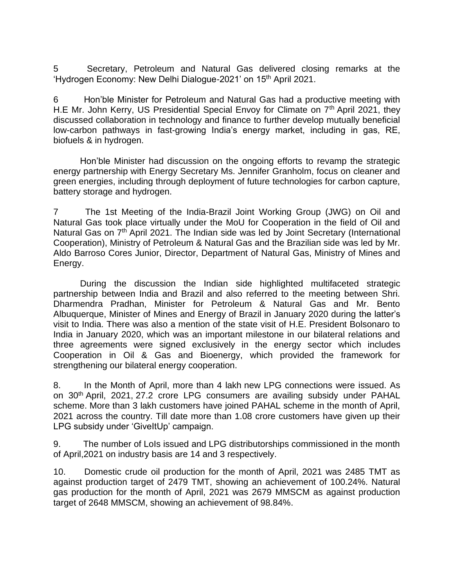5 Secretary, Petroleum and Natural Gas delivered closing remarks at the 'Hydrogen Economy: New Delhi Dialogue-2021' on 15th April 2021.

6 Hon'ble Minister for Petroleum and Natural Gas had a productive meeting with H.E Mr. John Kerry, US Presidential Special Envoy for Climate on  $7<sup>th</sup>$  April 2021, they discussed collaboration in technology and finance to further develop mutually beneficial low-carbon pathways in fast-growing India's energy market, including in gas, RE, biofuels & in hydrogen.

Hon'ble Minister had discussion on the ongoing efforts to revamp the strategic energy partnership with Energy Secretary Ms. Jennifer Granholm, focus on cleaner and green energies, including through deployment of future technologies for carbon capture, battery storage and hydrogen.

7 The 1st Meeting of the India-Brazil Joint Working Group (JWG) on Oil and Natural Gas took place virtually under the MoU for Cooperation in the field of Oil and Natural Gas on 7<sup>th</sup> April 2021. The Indian side was led by Joint Secretary (International Cooperation), Ministry of Petroleum & Natural Gas and the Brazilian side was led by Mr. Aldo Barroso Cores Junior, Director, Department of Natural Gas, Ministry of Mines and Energy.

During the discussion the Indian side highlighted multifaceted strategic partnership between India and Brazil and also referred to the meeting between Shri. Dharmendra Pradhan, Minister for Petroleum & Natural Gas and Mr. Bento Albuquerque, Minister of Mines and Energy of Brazil in January 2020 during the latter's visit to India. There was also a mention of the state visit of H.E. President Bolsonaro to India in January 2020, which was an important milestone in our bilateral relations and three agreements were signed exclusively in the energy sector which includes Cooperation in Oil & Gas and Bioenergy, which provided the framework for strengthening our bilateral energy cooperation.

8. In the Month of April, more than 4 lakh new LPG connections were issued. As on 30th April, 2021, 27.2 crore LPG consumers are availing subsidy under PAHAL scheme. More than 3 lakh customers have joined PAHAL scheme in the month of April, 2021 across the country. Till date more than 1.08 crore customers have given up their LPG subsidy under 'GiveItUp' campaign.

9. The number of LoIs issued and LPG distributorships commissioned in the month of April,2021 on industry basis are 14 and 3 respectively.

10. Domestic crude oil production for the month of April, 2021 was 2485 TMT as against production target of 2479 TMT, showing an achievement of 100.24%. Natural gas production for the month of April, 2021 was 2679 MMSCM as against production target of 2648 MMSCM, showing an achievement of 98.84%.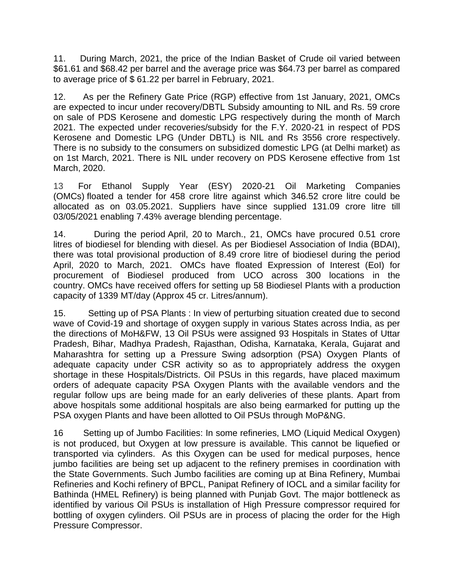11. During March, 2021, the price of the Indian Basket of Crude oil varied between \$61.61 and \$68.42 per barrel and the average price was \$64.73 per barrel as compared to average price of \$ 61.22 per barrel in February, 2021.

12. As per the Refinery Gate Price (RGP) effective from 1st January, 2021, OMCs are expected to incur under recovery/DBTL Subsidy amounting to NIL and Rs. 59 crore on sale of PDS Kerosene and domestic LPG respectively during the month of March 2021. The expected under recoveries/subsidy for the F.Y. 2020-21 in respect of PDS Kerosene and Domestic LPG (Under DBTL) is NIL and Rs 3556 crore respectively. There is no subsidy to the consumers on subsidized domestic LPG (at Delhi market) as on 1st March, 2021. There is NIL under recovery on PDS Kerosene effective from 1st March, 2020.

13 For Ethanol Supply Year (ESY) 2020-21 Oil Marketing Companies (OMCs) floated a tender for 458 crore litre against which 346.52 crore litre could be allocated as on 03.05.2021. Suppliers have since supplied 131.09 crore litre till 03/05/2021 enabling 7.43% average blending percentage.

14. During the period April, 20 to March., 21, OMCs have procured 0.51 crore litres of biodiesel for blending with diesel. As per Biodiesel Association of India (BDAI), there was total provisional production of 8.49 crore litre of biodiesel during the period April, 2020 to March, 2021. OMCs have floated Expression of Interest (EoI) for procurement of Biodiesel produced from UCO across 300 locations in the country. OMCs have received offers for setting up 58 Biodiesel Plants with a production capacity of 1339 MT/day (Approx 45 cr. Litres/annum).

15. Setting up of PSA Plants : In view of perturbing situation created due to second wave of Covid-19 and shortage of oxygen supply in various States across India, as per the directions of MoH&FW, 13 Oil PSUs were assigned 93 Hospitals in States of Uttar Pradesh, Bihar, Madhya Pradesh, Rajasthan, Odisha, Karnataka, Kerala, Gujarat and Maharashtra for setting up a Pressure Swing adsorption (PSA) Oxygen Plants of adequate capacity under CSR activity so as to appropriately address the oxygen shortage in these Hospitals/Districts. Oil PSUs in this regards, have placed maximum orders of adequate capacity PSA Oxygen Plants with the available vendors and the regular follow ups are being made for an early deliveries of these plants. Apart from above hospitals some additional hospitals are also being earmarked for putting up the PSA oxygen Plants and have been allotted to Oil PSUs through MoP&NG.

16 Setting up of Jumbo Facilities: In some refineries, LMO (Liquid Medical Oxygen) is not produced, but Oxygen at low pressure is available. This cannot be liquefied or transported via cylinders. As this Oxygen can be used for medical purposes, hence jumbo facilities are being set up adjacent to the refinery premises in coordination with the State Governments. Such Jumbo facilities are coming up at Bina Refinery, Mumbai Refineries and Kochi refinery of BPCL, Panipat Refinery of IOCL and a similar facility for Bathinda (HMEL Refinery) is being planned with Punjab Govt. The major bottleneck as identified by various Oil PSUs is installation of High Pressure compressor required for bottling of oxygen cylinders. Oil PSUs are in process of placing the order for the High Pressure Compressor.